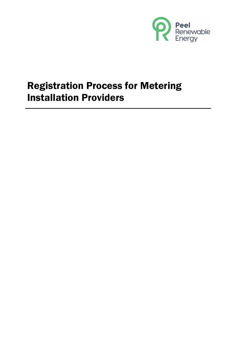

# Registration Process for Metering Installation Providers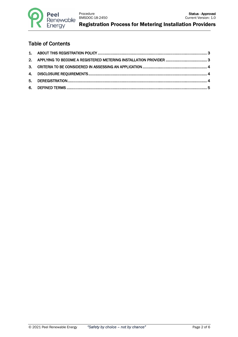

Registration Process for Metering Installation Providers

#### Table of Contents

| 2. APPLYING TO BECOME A REGISTERED METERING INSTALLATION PROVIDER  3 |  |
|----------------------------------------------------------------------|--|
|                                                                      |  |
|                                                                      |  |
|                                                                      |  |
|                                                                      |  |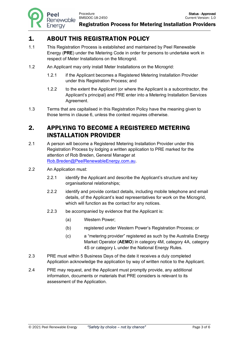Enerav

## 1. ABOUT THIS REGISTRATION POLICY

- 1.1 This Registration Process is established and maintained by Peel Renewable Energy (**PRE**) under the Metering Code in order for persons to undertake work in respect of Meter Installations on the Microgrid.
- 1.2 An Applicant may only install Meter Installations on the Microgrid:
	- 1.2.1 if the Applicant becomes a Registered Metering Installation Provider under this Registration Process; and
	- 1.2.2 to the extent the Applicant (or where the Applicant is a subcontractor, the Applicant's principal) and PRE enter into a Metering Installation Services Agreement.
- 1.3 Terms that are capitalised in this Registration Policy have the meaning given to those terms in clause 6, unless the context requires otherwise.

#### 2. APPLYING TO BECOME A REGISTERED METERING INSTALLATION PROVIDER

- 2.1 A person will become a Registered Metering Installation Provider under this Registration Process by lodging a written application to PRE marked for the attention of Rob Breden, General Manager at Rob.Breden@PeelRenewableEnergy.com.au.
- 2.2 An Application must:
	- 2.2.1 identify the Applicant and describe the Applicant's structure and key organisational relationships;
	- 2.2.2 identify and provide contact details, including mobile telephone and email details, of the Applicant's lead representatives for work on the Microgrid, which will function as the contact for any notices.
	- 2.2.3 be accompanied by evidence that the Applicant is:
		- (a) Western Power;
		- (b) registered under Western Power's Registration Process; or
		- (c) a "metering provider" registered as such by the Australia Energy Market Operator (**AEMO**) in category 4M, category 4A, category 4S or category L under the National Energy Rules.
- 2.3 PRE must within 5 Business Days of the date it receives a duly completed Application acknowledge the application by way of written notice to the Applicant.
- 2.4 PRE may request, and the Applicant must promptly provide, any additional information, documents or materials that PRE considers is relevant to its assessment of the Application.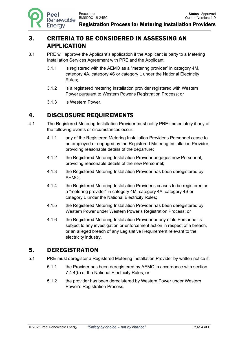### 3. CRITERIA TO BE CONSIDERED IN ASSESSING AN APPLICATION

- 3.1 PRE will approve the Applicant's application if the Applicant is party to a Metering Installation Services Agreement with PRE and the Applicant:
	- 3.1.1 is registered with the AEMO as a "metering provider" in category 4M, category 4A, category 4S or category L under the National Electricity Rules;
	- 3.1.2 is a registered metering installation provider registered with Western Power pursuant to Western Power's Registration Process; or
	- 3.1.3 is Western Power.

## 4. DISCLOSURE REQUIREMENTS

- 4.1 The Registered Metering Installation Provider must notify PRE immediately if any of the following events or circumstances occur:
	- 4.1.1 any of the Registered Metering Installation Provider's Personnel cease to be employed or engaged by the Registered Metering Installation Provider, providing reasonable details of the departure;
	- 4.1.2 the Registered Metering Installation Provider engages new Personnel, providing reasonable details of the new Personnel;
	- 4.1.3 the Registered Metering Installation Provider has been deregistered by AEMO;
	- 4.1.4 the Registered Metering Installation Provider's ceases to be registered as a "metering provider" in category 4M, category 4A, category 4S or category L under the National Electricity Rules;
	- 4.1.5 the Registered Metering Installation Provider has been deregistered by Western Power under Western Power's Registration Process; or
	- 4.1.6 the Registered Metering Installation Provider or any of its Personnel is subject to any investigation or enforcement action in respect of a breach, or an alleged breach of any Legislative Requirement relevant to the electricity industry.

#### 5. DEREGISTRATION

- 5.1 PRE must deregister a Registered Metering Installation Provider by written notice if:
	- 5.1.1 the Provider has been deregistered by AEMO in accordance with section 7.4.4(b) of the National Electricity Rules; or
	- 5.1.2 the provider has been deregistered by Western Power under Western Power's Registration Process.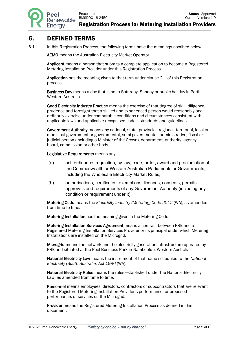Registration Process for Metering Installation Providers

#### 6. DEFINED TERMS

6.1 In this Registration Process, the following terms have the meanings ascribed below:

AEMO means the Australian Electricity Market Operator.

Applicant means a person that submits a complete application to become a Registered Metering Installation Provider under this Registration Process.

Application has the meaning given to that term under clause 2.1 of this Registration process.

Business Day means a day that is not a Saturday, Sunday or public holiday in Perth, Western Australia.

Good Electricity Industry Practice means the exercise of that degree of skill, diligence, prudence and foresight that a skilled and experienced person would reasonably and ordinarily exercise under comparable conditions and circumstances consistent with applicable laws and applicable recognised codes, standards and guidelines.

Government Authority means any national, state, provincial, regional, territorial, local or municipal government or governmental, semi-governmental, administrative, fiscal or judicial person (including a Minister of the Crown), department, authority, agency, board, commission or other body.

Legislative Requirements means any:

- (a) act, ordinance, regulation, by-law, code, order, award and proclamation of the Commonwealth or Western Australian Parliaments or Governments, including the Wholesale Electricity Market Rules;
- (b) authorisations, certificates, exemptions, licences, consents, permits, approvals and requirements of any Government Authority (including any condition or requirement under it).

Metering Code means the *Electricity Industry (Metering) Code 2012* (WA), as amended from time to time.

Metering Installation has the meaning given in the Metering Code.

Metering Installation Services Agreement means a contract between PRE and a Registered Metering Installation Services Provider or its principal under which Metering Installations are installed on the Microgrid.

Microgrid means the network and the electricity generation infrastructure operated by PRE and situated at the Peel Business Park in Nambeelup, Western Australia.

National Electricity Law means the instrument of that name scheduled to the *National Electricity (South Australia) Act 1996* (WA).

National Electricity Rules means the rules established under the National Electricity Law, as amended from time to time.

Personnel means employees, directors, contractors or subcontractors that are relevant to the Registered Metering Installation Provider's performance, or proposed performance, of services on the Microgrid.

Provider means the Registered Metering Installation Process as defined in this document.